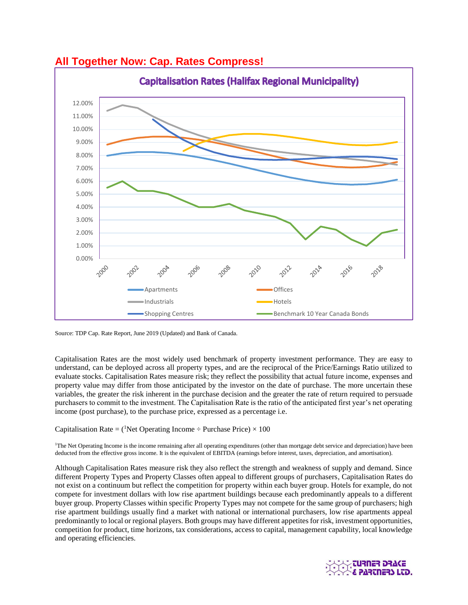

# **All Together Now: Cap. Rates Compress!**

Source: TDP Cap. Rate Report, June 2019 (Updated) and Bank of Canada.

Capitalisation Rates are the most widely used benchmark of property investment performance. They are easy to understand, can be deployed across all property types, and are the reciprocal of the Price/Earnings Ratio utilized to evaluate stocks. Capitalisation Rates measure risk; they reflect the possibility that actual future income, expenses and property value may differ from those anticipated by the investor on the date of purchase. The more uncertain these variables, the greater the risk inherent in the purchase decision and the greater the rate of return required to persuade purchasers to commit to the investment. The Capitalisation Rate is the ratio of the anticipated first year's net operating income (post purchase), to the purchase price, expressed as a percentage i.e.

# Capitalisation Rate = (<sup>1</sup>Net Operating Income  $\div$  Purchase Price)  $\times$  100

<sup>1</sup>The Net Operating Income is the income remaining after all operating expenditures (other than mortgage debt service and depreciation) have been deducted from the effective gross income. It is the equivalent of EBITDA (earnings before interest, taxes, depreciation, and amortisation).

Although Capitalisation Rates measure risk they also reflect the strength and weakness of supply and demand. Since different Property Types and Property Classes often appeal to different groups of purchasers, Capitalisation Rates do not exist on a continuum but reflect the competition for property within each buyer group. Hotels for example, do not compete for investment dollars with low rise apartment buildings because each predominantly appeals to a different buyer group. Property Classes within specific Property Types may not compete for the same group of purchasers; high rise apartment buildings usually find a market with national or international purchasers, low rise apartments appeal predominantly to local or regional players. Both groups may have different appetites for risk, investment opportunities, competition for product, time horizons, tax considerations, access to capital, management capability, local knowledge and operating efficiencies.

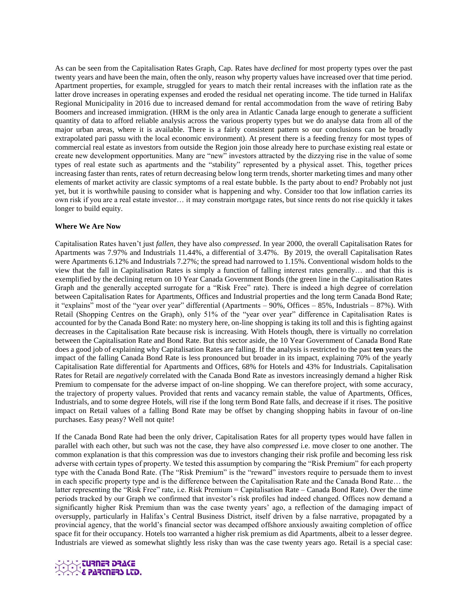As can be seen from the Capitalisation Rates Graph, Cap. Rates have *declined* for most property types over the past twenty years and have been the main, often the only, reason why property values have increased over that time period. Apartment properties, for example, struggled for years to match their rental increases with the inflation rate as the latter drove increases in operating expenses and eroded the residual net operating income. The tide turned in Halifax Regional Municipality in 2016 due to increased demand for rental accommodation from the wave of retiring Baby Boomers and increased immigration. (HRM is the only area in Atlantic Canada large enough to generate a sufficient quantity of data to afford reliable analysis across the various property types but we do analyse data from all of the major urban areas, where it is available. There is a fairly consistent pattern so our conclusions can be broadly extrapolated pari passu with the local economic environment). At present there is a feeding frenzy for most types of commercial real estate as investors from outside the Region join those already here to purchase existing real estate or create new development opportunities. Many are "new" investors attracted by the dizzying rise in the value of some types of real estate such as apartments and the "stability" represented by a physical asset. This, together prices increasing faster than rents, rates of return decreasing below long term trends, shorter marketing times and many other elements of market activity are classic symptoms of a real estate bubble. Is the party about to end? Probably not just yet, but it is worthwhile pausing to consider what is happening and why. Consider too that low inflation carries its own risk if you are a real estate investor… it may constrain mortgage rates, but since rents do not rise quickly it takes longer to build equity.

# **Where We Are Now**

Capitalisation Rates haven't just *fallen,* they have also *compressed*. In year 2000, the overall Capitalisation Rates for Apartments was 7.97% and Industrials 11.44%, a differential of 3.47%. By 2019, the overall Capitalisation Rates were Apartments 6.12% and Industrials 7.27%; the spread had narrowed to 1.15%. Conventional wisdom holds to the view that the fall in Capitalisation Rates is simply a function of falling interest rates generally… and that this is exemplified by the declining return on 10 Year Canada Government Bonds (the green line in the Capitalisation Rates Graph and the generally accepted surrogate for a "Risk Free" rate). There is indeed a high degree of correlation between Capitalisation Rates for Apartments, Offices and Industrial properties and the long term Canada Bond Rate; it "explains" most of the "year over year" differential (Apartments – 90%, Offices – 85%, Industrials – 87%). With Retail (Shopping Centres on the Graph), only 51% of the "year over year" difference in Capitalisation Rates is accounted for by the Canada Bond Rate: no mystery here, on-line shopping is taking its toll and this is fighting against decreases in the Capitalisation Rate because risk is increasing. With Hotels though, there is virtually no correlation between the Capitalisation Rate and Bond Rate. But this sector aside, the 10 Year Government of Canada Bond Rate does a good job of explaining why Capitalisation Rates are falling. If the analysis is restricted to the past **ten** years the impact of the falling Canada Bond Rate is less pronounced but broader in its impact, explaining 70% of the yearly Capitalisation Rate differential for Apartments and Offices, 68% for Hotels and 43% for Industrials. Capitalisation Rates for Retail are *negatively* correlated with the Canada Bond Rate as investors increasingly demand a higher Risk Premium to compensate for the adverse impact of on-line shopping. We can therefore project, with some accuracy, the trajectory of property values. Provided that rents and vacancy remain stable, the value of Apartments, Offices, Industrials, and to some degree Hotels, will rise if the long term Bond Rate falls, and decrease if it rises. The positive impact on Retail values of a falling Bond Rate may be offset by changing shopping habits in favour of on-line purchases. Easy peasy? Well not quite!

If the Canada Bond Rate had been the only driver, Capitalisation Rates for all property types would have fallen in parallel with each other, but such was not the case, they have also *compressed* i.e. move closer to one another. The common explanation is that this compression was due to investors changing their risk profile and becoming less risk adverse with certain types of property. We tested this assumption by comparing the "Risk Premium" for each property type with the Canada Bond Rate. (The "Risk Premium" is the "reward" investors require to persuade them to invest in each specific property type and is the difference between the Capitalisation Rate and the Canada Bond Rate… the latter representing the "Risk Free" rate, i.e. Risk Premium = Capitalisation Rate – Canada Bond Rate). Over the time periods tracked by our Graph we confirmed that investor's risk profiles had indeed changed. Offices now demand a significantly higher Risk Premium than was the case twenty years' ago, a reflection of the damaging impact of oversupply, particularly in Halifax's Central Business District, itself driven by a false narrative, propagated by a provincial agency, that the world's financial sector was decamped offshore anxiously awaiting completion of office space fit for their occupancy. Hotels too warranted a higher risk premium as did Apartments, albeit to a lesser degree. Industrials are viewed as somewhat slightly less risky than was the case twenty years ago. Retail is a special case:

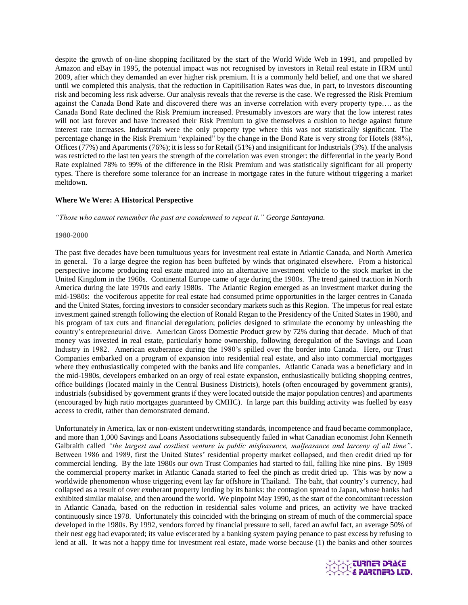despite the growth of on-line shopping facilitated by the start of the World Wide Web in 1991, and propelled by Amazon and eBay in 1995, the potential impact was not recognised by investors in Retail real estate in HRM until 2009, after which they demanded an ever higher risk premium. It is a commonly held belief, and one that we shared until we completed this analysis, that the reduction in Capitilisation Rates was due, in part, to investors discounting risk and becoming less risk adverse. Our analysis reveals that the reverse is the case. We regressed the Risk Premium against the Canada Bond Rate and discovered there was an inverse correlation with every property type…. as the Canada Bond Rate declined the Risk Premium increased. Presumably investors are wary that the low interest rates will not last forever and have increased their Risk Premium to give themselves a cushion to hedge against future interest rate increases. Industrials were the only property type where this was not statistically significant. The percentage change in the Risk Premium "explained" by the change in the Bond Rate is very strong for Hotels (88%), Offices (77%) and Apartments (76%); it is less so for Retail (51%) and insignificant for Industrials (3%). If the analysis was restricted to the last ten years the strength of the correlation was even stronger: the differential in the yearly Bond Rate explained 78% to 99% of the difference in the Risk Premium and was statistically significant for all property types. There is therefore some tolerance for an increase in mortgage rates in the future without triggering a market meltdown.

## **Where We Were: A Historical Perspective**

*"Those who cannot remember the past are condemned to repeat it." George Santayana.*

#### **1980-2000**

The past five decades have been tumultuous years for investment real estate in Atlantic Canada, and North America in general. To a large degree the region has been buffeted by winds that originated elsewhere. From a historical perspective income producing real estate matured into an alternative investment vehicle to the stock market in the United Kingdom in the 1960s. Continental Europe came of age during the 1980s. The trend gained traction in North America during the late 1970s and early 1980s. The Atlantic Region emerged as an investment market during the mid-1980s: the vociferous appetite for real estate had consumed prime opportunities in the larger centres in Canada and the United States, forcing investors to consider secondary markets such as this Region. The impetus for real estate investment gained strength following the election of Ronald Regan to the Presidency of the United States in 1980, and his program of tax cuts and financial deregulation; policies designed to stimulate the economy by unleashing the country's entrepreneurial drive. American Gross Domestic Product grew by 72% during that decade. Much of that money was invested in real estate, particularly home ownership, following deregulation of the Savings and Loan Industry in 1982. American exuberance during the 1980's spilled over the border into Canada. Here, our Trust Companies embarked on a program of expansion into residential real estate, and also into commercial mortgages where they enthusiastically competed with the banks and life companies. Atlantic Canada was a beneficiary and in the mid-1980s, developers embarked on an orgy of real estate expansion, enthusiastically building shopping centres, office buildings (located mainly in the Central Business Districts), hotels (often encouraged by government grants), industrials (subsidised by government grants if they were located outside the major population centres) and apartments (encouraged by high ratio mortgages guaranteed by CMHC). In large part this building activity was fuelled by easy access to credit, rather than demonstrated demand.

Unfortunately in America, lax or non-existent underwriting standards, incompetence and fraud became commonplace, and more than 1,000 Savings and Loans Associations subsequently failed in what Canadian economist John Kenneth Galbraith called *"the largest and costliest venture in public misfeasance, malfeasance and larceny of all time"*. Between 1986 and 1989, first the United States' residential property market collapsed, and then credit dried up for commercial lending. By the late 1980s our own Trust Companies had started to fail, falling like nine pins. By 1989 the commercial property market in Atlantic Canada started to feel the pinch as credit dried up. This was by now a worldwide phenomenon whose triggering event lay far offshore in Thailand. The baht, that country's currency, had collapsed as a result of over exuberant property lending by its banks: the contagion spread to Japan, whose banks had exhibited similar malaise, and then around the world. We pinpoint May 1990, as the start of the concomitant recession in Atlantic Canada, based on the reduction in residential sales volume and prices, an activity we have tracked continuously since 1978. Unfortunately this coincided with the bringing on stream of much of the commercial space developed in the 1980s. By 1992, vendors forced by financial pressure to sell, faced an awful fact, an average 50% of their nest egg had evaporated; its value eviscerated by a banking system paying penance to past excess by refusing to lend at all. It was not a happy time for investment real estate, made worse because (1) the banks and other sources

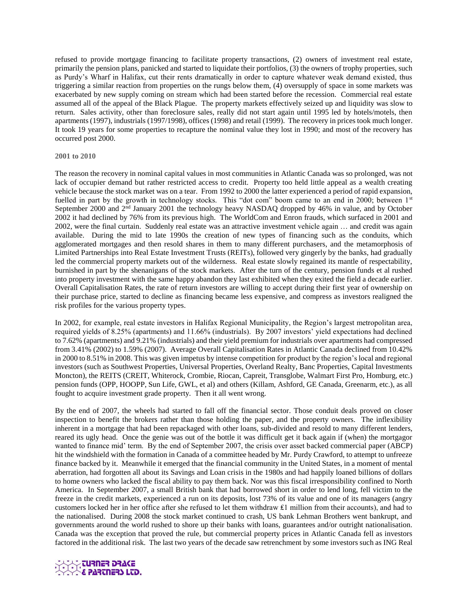refused to provide mortgage financing to facilitate property transactions, (2) owners of investment real estate, primarily the pension plans, panicked and started to liquidate their portfolios, (3) the owners of trophy properties, such as Purdy's Wharf in Halifax, cut their rents dramatically in order to capture whatever weak demand existed, thus triggering a similar reaction from properties on the rungs below them, (4) oversupply of space in some markets was exacerbated by new supply coming on stream which had been started before the recession. Commercial real estate assumed all of the appeal of the Black Plague. The property markets effectively seized up and liquidity was slow to return. Sales activity, other than foreclosure sales, really did not start again until 1995 led by hotels/motels, then apartments (1997), industrials (1997/1998), offices (1998) and retail (1999). The recovery in prices took much longer. It took 19 years for some properties to recapture the nominal value they lost in 1990; and most of the recovery has occurred post 2000.

## **2001 to 2010**

The reason the recovery in nominal capital values in most communities in Atlantic Canada was so prolonged, was not lack of occupier demand but rather restricted access to credit. Property too held little appeal as a wealth creating vehicle because the stock market was on a tear. From 1992 to 2000 the latter experienced a period of rapid expansion, fuelled in part by the growth in technology stocks. This "dot com" boom came to an end in 2000; between 1<sup>st</sup> September 2000 and 2<sup>nd</sup> January 2001 the technology heavy NASDAQ dropped by 46% in value, and by October 2002 it had declined by 76% from its previous high. The WorldCom and Enron frauds, which surfaced in 2001 and 2002, were the final curtain. Suddenly real estate was an attractive investment vehicle again … and credit was again available. During the mid to late 1990s the creation of new types of financing such as the conduits, which agglomerated mortgages and then resold shares in them to many different purchasers, and the metamorphosis of Limited Partnerships into Real Estate Investment Trusts (REITs), followed very gingerly by the banks, had gradually led the commercial property markets out of the wilderness. Real estate slowly regained its mantle of respectability, burnished in part by the shenanigans of the stock markets. After the turn of the century, pension funds et al rushed into property investment with the same happy abandon they last exhibited when they exited the field a decade earlier. Overall Capitalisation Rates, the rate of return investors are willing to accept during their first year of ownership on their purchase price, started to decline as financing became less expensive, and compress as investors realigned the risk profiles for the various property types.

In 2002, for example, real estate investors in Halifax Regional Municipality, the Region's largest metropolitan area, required yields of 8.25% (apartments) and 11.66% (industrials). By 2007 investors' yield expectations had declined to 7.62% (apartments) and 9.21% (industrials) and their yield premium for industrials over apartments had compressed from 3.41% (2002) to 1.59% (2007). Average Overall Capitalisation Rates in Atlantic Canada declined from 10.42% in 2000 to 8.51% in 2008. This was given impetus by intense competition for product by the region's local and regional investors (such as Southwest Properties, Universal Properties, Overland Realty, Banc Properties, Capital Investments Moncton), the REITS (CREIT, Whiterock, Crombie, Riocan, Capreit, Transglobe, Walmart First Pro, Homburg, etc.) pension funds (OPP, HOOPP, Sun Life, GWL, et al) and others (Killam, Ashford, GE Canada, Greenarm, etc.), as all fought to acquire investment grade property. Then it all went wrong.

By the end of 2007, the wheels had started to fall off the financial sector. Those conduit deals proved on closer inspection to benefit the brokers rather than those holding the paper, and the property owners. The inflexibility inherent in a mortgage that had been repackaged with other loans, sub-divided and resold to many different lenders, reared its ugly head. Once the genie was out of the bottle it was difficult get it back again if (when) the mortgagor wanted to finance mid' term. By the end of September 2007, the crisis over asset backed commercial paper (ABCP) hit the windshield with the formation in Canada of a committee headed by Mr. Purdy Crawford, to attempt to unfreeze finance backed by it. Meanwhile it emerged that the financial community in the United States, in a moment of mental aberration, had forgotten all about its Savings and Loan crisis in the 1980s and had happily loaned billions of dollars to home owners who lacked the fiscal ability to pay them back. Nor was this fiscal irresponsibility confined to North America. In September 2007, a small British bank that had borrowed short in order to lend long, fell victim to the freeze in the credit markets, experienced a run on its deposits, lost 73% of its value and one of its managers (angry customers locked her in her office after she refused to let them withdraw ₤1 million from their accounts), and had to the nationalised. During 2008 the stock market continued to crash, US bank Lehman Brothers went bankrupt, and governments around the world rushed to shore up their banks with loans, guarantees and/or outright nationalisation. Canada was the exception that proved the rule, but commercial property prices in Atlantic Canada fell as investors factored in the additional risk. The last two years of the decade saw retrenchment by some investors such as ING Real

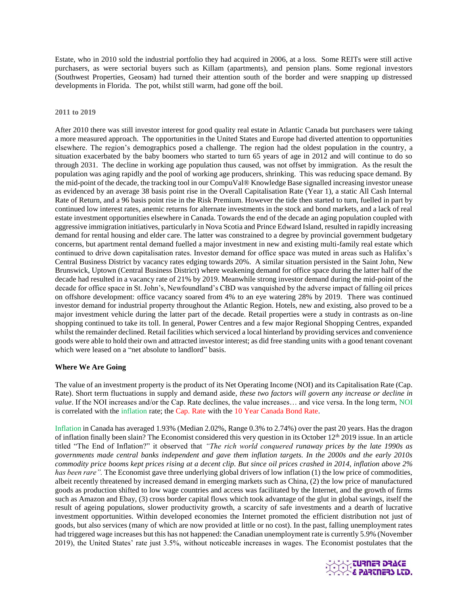Estate, who in 2010 sold the industrial portfolio they had acquired in 2006, at a loss. Some REITs were still active purchasers, as were sectorial buyers such as Killam (apartments), and pension plans. Some regional investors (Southwest Properties, Geosam) had turned their attention south of the border and were snapping up distressed developments in Florida. The pot, whilst still warm, had gone off the boil.

### **2011 to 2019**

After 2010 there was still investor interest for good quality real estate in Atlantic Canada but purchasers were taking a more measured approach. The opportunities in the United States and Europe had diverted attention to opportunities elsewhere. The region's demographics posed a challenge. The region had the oldest population in the country, a situation exacerbated by the baby boomers who started to turn 65 years of age in 2012 and will continue to do so through 2031. The decline in working age population thus caused, was not offset by immigration. As the result the population was aging rapidly and the pool of working age producers, shrinking. This was reducing space demand. By the mid-point of the decade, the tracking tool in our CompuVal® Knowledge Base signalled increasing investor unease as evidenced by an average 38 basis point rise in the Overall Capitalisation Rate (Year 1), a static All Cash Internal Rate of Return, and a 96 basis point rise in the Risk Premium. However the tide then started to turn, fuelled in part by continued low interest rates, anemic returns for alternate investments in the stock and bond markets, and a lack of real estate investment opportunities elsewhere in Canada. Towards the end of the decade an aging population coupled with aggressive immigration initiatives, particularly in Nova Scotia and Prince Edward Island, resulted in rapidly increasing demand for rental housing and elder care. The latter was constrained to a degree by provincial government budgetary concerns, but apartment rental demand fuelled a major investment in new and existing multi-family real estate which continued to drive down capitalisation rates. Investor demand for office space was muted in areas such as Halifax's Central Business District by vacancy rates edging towards 20%. A similar situation persisted in the Saint John, New Brunswick, Uptown (Central Business District) where weakening demand for office space during the latter half of the decade had resulted in a vacancy rate of 21% by 2019. Meanwhile strong investor demand during the mid-point of the decade for office space in St. John's, Newfoundland's CBD was vanquished by the adverse impact of falling oil prices on offshore development: office vacancy soared from 4% to an eye watering 28% by 2019. There was continued investor demand for industrial property throughout the Atlantic Region. Hotels, new and existing, also proved to be a major investment vehicle during the latter part of the decade. Retail properties were a study in contrasts as on-line shopping continued to take its toll. In general, Power Centres and a few major Regional Shopping Centres, expanded whilst the remainder declined. Retail facilities which serviced a local hinterland by providing services and convenience goods were able to hold their own and attracted investor interest; as did free standing units with a good tenant covenant which were leased on a "net absolute to landlord" basis.

# **Where We Are Going**

The value of an investment property is the product of its Net Operating Income (NOI) and its Capitalisation Rate (Cap. Rate). Short term fluctuations in supply and demand aside, *these two factors will govern any increase or decline in value*. If the NOI increases and/or the Cap. Rate declines, the value increases... and vice versa. In the long term, NOI is correlated with the inflation rate; the Cap. Rate with the 10 Year Canada Bond Rate.

Inflation in Canada has averaged 1.93% (Median 2.02%, Range 0.3% to 2.74%) over the past 20 years. Has the dragon of inflation finally been slain? The Economist considered this very question in its October 12<sup>th</sup> 2019 issue. In an article titled "The End of Inflation?" it observed that *"The rich world conquered runaway prices by the late 1990s as governments made central banks independent and gave them inflation targets. In the 2000s and the early 2010s commodity price booms kept prices rising at a decent clip. But since oil prices crashed in 2014, inflation above 2% has been rare".* The Economist gave three underlying global drivers of low inflation (1) the low price of commodities, albeit recently threatened by increased demand in emerging markets such as China, (2) the low price of manufactured goods as production shifted to low wage countries and access was facilitated by the Internet, and the growth of firms such as Amazon and Ebay, (3) cross border capital flows which took advantage of the glut in global savings, itself the result of ageing populations, slower productivity growth, a scarcity of safe investments and a dearth of lucrative investment opportunities. Within developed economies the Internet promoted the efficient distribution not just of goods, but also services (many of which are now provided at little or no cost). In the past, falling unemployment rates had triggered wage increases but this has not happened: the Canadian unemployment rate is currently 5.9% (November 2019), the United States' rate just 3.5%, without noticeable increases in wages. The Economist postulates that the